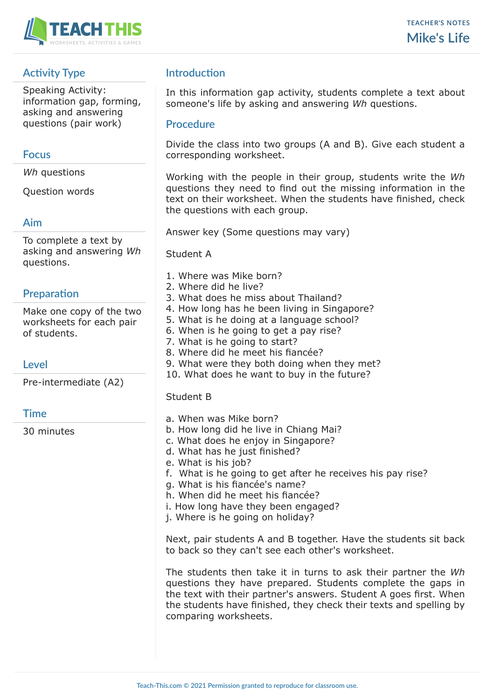

# **Activity Type**

Speaking Activity: information gap, forming, asking and answering questions (pair work)

### **Focus**

*Wh* questions

Question words

#### **Aim**

To complete a text by asking and answering *Wh* questions.

### **Preparation**

Make one copy of the two worksheets for each pair of students.

### **Level**

Pre-intermediate (A2)

#### **Time**

30 minutes

## **Introduction**

In this information gap activity, students complete a text about someone's life by asking and answering *Wh* questions.

#### **Procedure**

Divide the class into two groups (A and B). Give each student a corresponding worksheet.

Working with the people in their group, students write the *Wh* questions they need to find out the missing information in the text on their worksheet. When the students have finished, check the questions with each group.

Answer key (Some questions may vary)

Student A

- 1. Where was Mike born?
- 2. Where did he live?
- 3. What does he miss about Thailand?
- 4. How long has he been living in Singapore?
- 5. What is he doing at a language school?
- 6. When is he going to get a pay rise?
- 7. What is he going to start?
- 8. Where did he meet his fiancée?
- 9. What were they both doing when they met?
- 10. What does he want to buy in the future?

#### Student B

- a. When was Mike born?
- b. How long did he live in Chiang Mai?
- c. What does he enjoy in Singapore?
- d. What has he just finished?
- e. What is his job?
- f. What is he going to get after he receives his pay rise?
- g. What is his fiancée's name?
- h. When did he meet his fiancée?
- i. How long have they been engaged?
- j. Where is he going on holiday?

Next, pair students A and B together. Have the students sit back to back so they can't see each other's worksheet.

The students then take it in turns to ask their partner the *Wh* questions they have prepared. Students complete the gaps in the text with their partner's answers. Student A goes first. When the students have finished, they check their texts and spelling by comparing worksheets.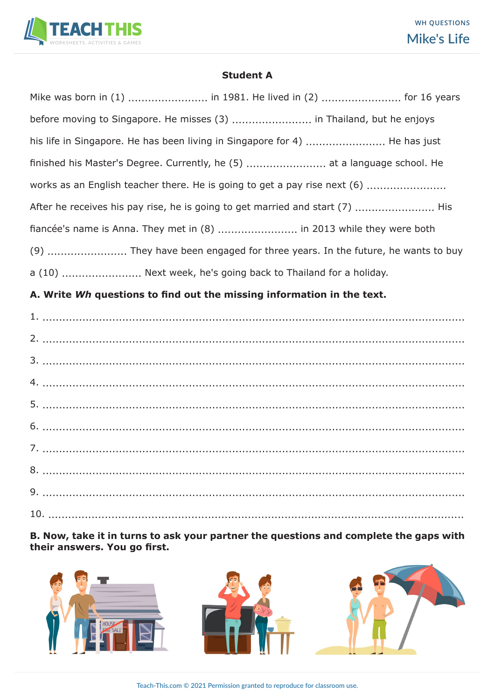

#### **Student A**

| Mike was born in (1)  in 1981. He lived in (2)  for 16 years                  |
|-------------------------------------------------------------------------------|
| before moving to Singapore. He misses (3)  in Thailand, but he enjoys         |
| his life in Singapore. He has been living in Singapore for 4)  He has just    |
| finished his Master's Degree. Currently, he (5)  at a language school. He     |
| works as an English teacher there. He is going to get a pay rise next (6)     |
| After he receives his pay rise, he is going to get married and start (7)  His |
| fiancée's name is Anna. They met in (8)  in 2013 while they were both         |
|                                                                               |
| a (10)  Next week, he's going back to Thailand for a holiday.                 |
|                                                                               |

# **A. Write** *Wh* **questions to find out the missing information in the text.**

**B. Now, take it in turns to ask your partner the questions and complete the gaps with their answers. You go first.**